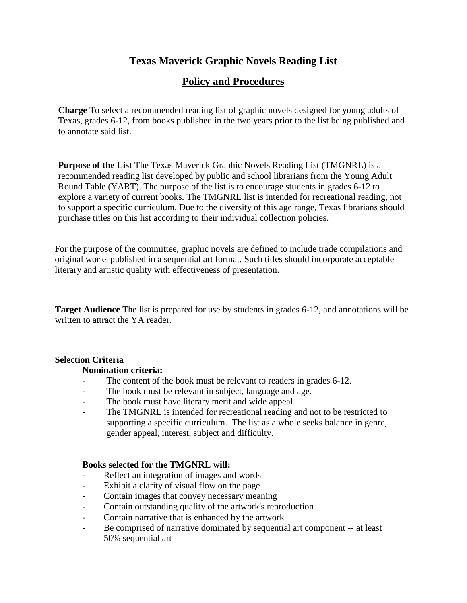# **Texas Maverick Graphic Novels Reading List**

# **Policy and Procedures**

**Charge** To select a recommended reading list of graphic novels designed for young adults of Texas, grades 6-12, from books published in the two years prior to the list being published and to annotate said list.

**Purpose of the List** The Texas Maverick Graphic Novels Reading List (TMGNRL) is a recommended reading list developed by public and school librarians from the Young Adult Round Table (YART). The purpose of the list is to encourage students in grades 6-12 to explore a variety of current books. The TMGNRL list is intended for recreational reading, not to support a specific curriculum. Due to the diversity of this age range, Texas librarians should purchase titles on this list according to their individual collection policies.

For the purpose of the committee, graphic novels are defined to include trade compilations and original works published in a sequential art format. Such titles should incorporate acceptable literary and artistic quality with effectiveness of presentation.

**Target Audience** The list is prepared for use by students in grades 6-12, and annotations will be written to attract the YA reader.

### **Selection Criteria**

### **Nomination criteria:**

- The content of the book must be relevant to readers in grades 6-12.
- The book must be relevant in subject, language and age.
- The book must have literary merit and wide appeal.
- The TMGNRL is intended for recreational reading and not to be restricted to supporting a specific curriculum. The list as a whole seeks balance in genre, gender appeal, interest, subject and difficulty.

### **Books selected for the TMGNRL will:**

- Reflect an integration of images and words
- Exhibit a clarity of visual flow on the page
- Contain images that convey necessary meaning
- Contain outstanding quality of the artwork's reproduction
- Contain narrative that is enhanced by the artwork
- Be comprised of narrative dominated by sequential art component -- at least 50% sequential art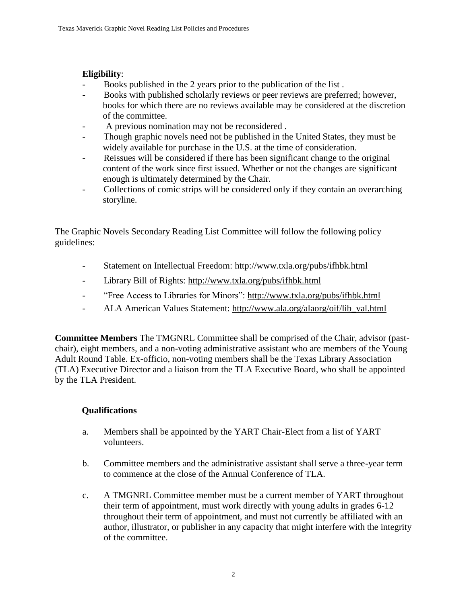# **Eligibility**:

- Books published in the 2 years prior to the publication of the list .
- Books with published scholarly reviews or peer reviews are preferred; however, books for which there are no reviews available may be considered at the discretion of the committee.
- A previous nomination may not be reconsidered.
- Though graphic novels need not be published in the United States, they must be widely available for purchase in the U.S. at the time of consideration.
- Reissues will be considered if there has been significant change to the original content of the work since first issued. Whether or not the changes are significant enough is ultimately determined by the Chair.
- Collections of comic strips will be considered only if they contain an overarching storyline.

The Graphic Novels Secondary Reading List Committee will follow the following policy guidelines:

- Statement on Intellectual Freedom:<http://www.txla.org/pubs/ifhbk.html>
- Library Bill of Rights:<http://www.txla.org/pubs/ifhbk.html>
- "Free Access to Libraries for Minors":<http://www.txla.org/pubs/ifhbk.html>
- ALA American Values Statement: [http://www.ala.org/alaorg/oif/lib\\_val.html](http://www.ala.org/alaorg/oif/lib_val.html)

**Committee Members** The TMGNRL Committee shall be comprised of the Chair, advisor (pastchair), eight members, and a non-voting administrative assistant who are members of the Young Adult Round Table. Ex-officio, non-voting members shall be the Texas Library Association (TLA) Executive Director and a liaison from the TLA Executive Board, who shall be appointed by the TLA President.

# **Qualifications**

- a. Members shall be appointed by the YART Chair-Elect from a list of YART volunteers.
- b. Committee members and the administrative assistant shall serve a three-year term to commence at the close of the Annual Conference of TLA.
- c. A TMGNRL Committee member must be a current member of YART throughout their term of appointment, must work directly with young adults in grades 6-12 throughout their term of appointment, and must not currently be affiliated with an author, illustrator, or publisher in any capacity that might interfere with the integrity of the committee.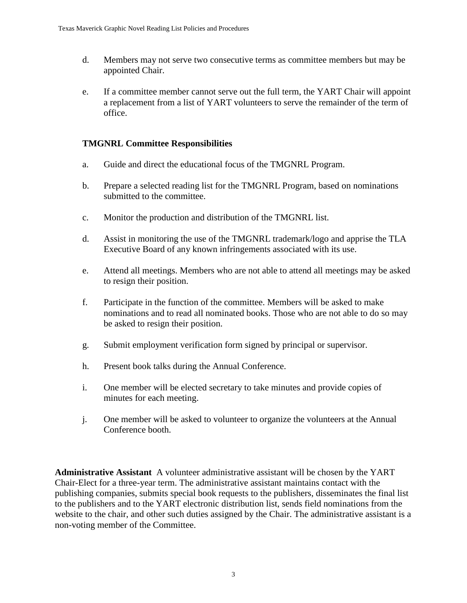- d. Members may not serve two consecutive terms as committee members but may be appointed Chair.
- e. If a committee member cannot serve out the full term, the YART Chair will appoint a replacement from a list of YART volunteers to serve the remainder of the term of office.

### **TMGNRL Committee Responsibilities**

- a. Guide and direct the educational focus of the TMGNRL Program.
- b. Prepare a selected reading list for the TMGNRL Program, based on nominations submitted to the committee.
- c. Monitor the production and distribution of the TMGNRL list.
- d. Assist in monitoring the use of the TMGNRL trademark/logo and apprise the TLA Executive Board of any known infringements associated with its use.
- e. Attend all meetings. Members who are not able to attend all meetings may be asked to resign their position.
- f. Participate in the function of the committee. Members will be asked to make nominations and to read all nominated books. Those who are not able to do so may be asked to resign their position.
- g. Submit employment verification form signed by principal or supervisor.
- h. Present book talks during the Annual Conference.
- i. One member will be elected secretary to take minutes and provide copies of minutes for each meeting.
- j. One member will be asked to volunteer to organize the volunteers at the Annual Conference booth.

**Administrative Assistant** A volunteer administrative assistant will be chosen by the YART Chair-Elect for a three-year term. The administrative assistant maintains contact with the publishing companies, submits special book requests to the publishers, disseminates the final list to the publishers and to the YART electronic distribution list, sends field nominations from the website to the chair, and other such duties assigned by the Chair. The administrative assistant is a non-voting member of the Committee.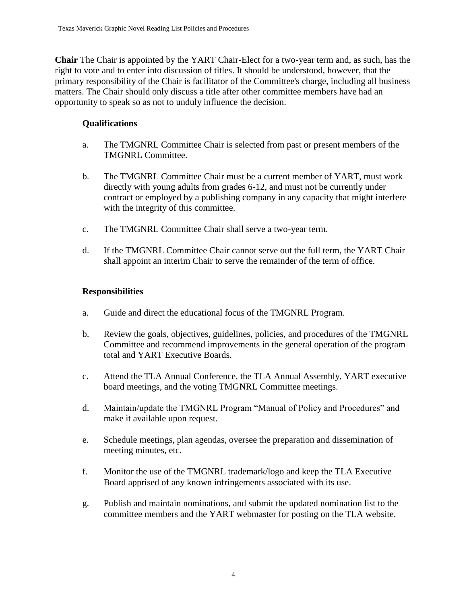**Chair** The Chair is appointed by the YART Chair-Elect for a two-year term and, as such, has the right to vote and to enter into discussion of titles. It should be understood, however, that the primary responsibility of the Chair is facilitator of the Committee's charge, including all business matters. The Chair should only discuss a title after other committee members have had an opportunity to speak so as not to unduly influence the decision.

### **Qualifications**

- a. The TMGNRL Committee Chair is selected from past or present members of the TMGNRL Committee.
- b. The TMGNRL Committee Chair must be a current member of YART, must work directly with young adults from grades 6-12, and must not be currently under contract or employed by a publishing company in any capacity that might interfere with the integrity of this committee.
- c. The TMGNRL Committee Chair shall serve a two-year term.
- d. If the TMGNRL Committee Chair cannot serve out the full term, the YART Chair shall appoint an interim Chair to serve the remainder of the term of office.

# **Responsibilities**

- a. Guide and direct the educational focus of the TMGNRL Program.
- b. Review the goals, objectives, guidelines, policies, and procedures of the TMGNRL Committee and recommend improvements in the general operation of the program total and YART Executive Boards.
- c. Attend the TLA Annual Conference, the TLA Annual Assembly, YART executive board meetings, and the voting TMGNRL Committee meetings.
- d. Maintain/update the TMGNRL Program "Manual of Policy and Procedures" and make it available upon request.
- e. Schedule meetings, plan agendas, oversee the preparation and dissemination of meeting minutes, etc.
- f. Monitor the use of the TMGNRL trademark/logo and keep the TLA Executive Board apprised of any known infringements associated with its use.
- g. Publish and maintain nominations, and submit the updated nomination list to the committee members and the YART webmaster for posting on the TLA website.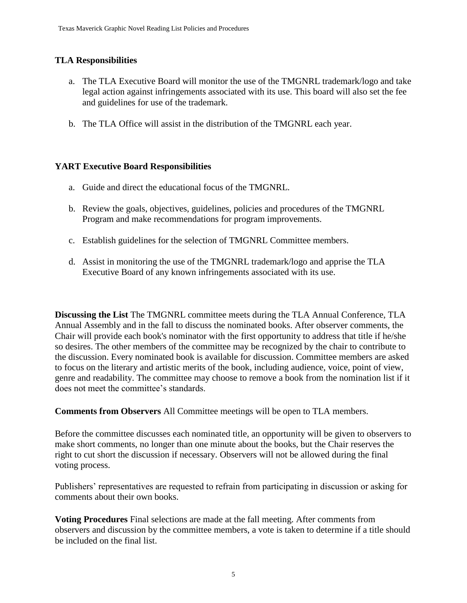# **TLA Responsibilities**

- a. The TLA Executive Board will monitor the use of the TMGNRL trademark/logo and take legal action against infringements associated with its use. This board will also set the fee and guidelines for use of the trademark.
- b. The TLA Office will assist in the distribution of the TMGNRL each year.

# **YART Executive Board Responsibilities**

- a. Guide and direct the educational focus of the TMGNRL.
- b. Review the goals, objectives, guidelines, policies and procedures of the TMGNRL Program and make recommendations for program improvements.
- c. Establish guidelines for the selection of TMGNRL Committee members.
- d. Assist in monitoring the use of the TMGNRL trademark/logo and apprise the TLA Executive Board of any known infringements associated with its use.

**Discussing the List** The TMGNRL committee meets during the TLA Annual Conference, TLA Annual Assembly and in the fall to discuss the nominated books. After observer comments, the Chair will provide each book's nominator with the first opportunity to address that title if he/she so desires. The other members of the committee may be recognized by the chair to contribute to the discussion. Every nominated book is available for discussion. Committee members are asked to focus on the literary and artistic merits of the book, including audience, voice, point of view, genre and readability. The committee may choose to remove a book from the nomination list if it does not meet the committee's standards.

**Comments from Observers** All Committee meetings will be open to TLA members.

Before the committee discusses each nominated title, an opportunity will be given to observers to make short comments, no longer than one minute about the books, but the Chair reserves the right to cut short the discussion if necessary. Observers will not be allowed during the final voting process.

Publishers' representatives are requested to refrain from participating in discussion or asking for comments about their own books.

**Voting Procedures** Final selections are made at the fall meeting. After comments from observers and discussion by the committee members, a vote is taken to determine if a title should be included on the final list.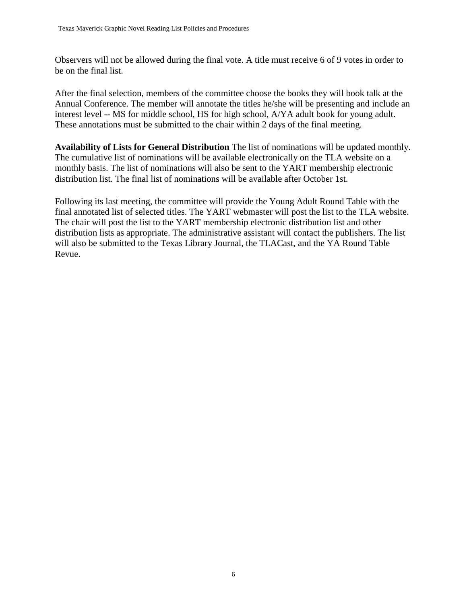Observers will not be allowed during the final vote. A title must receive 6 of 9 votes in order to be on the final list.

After the final selection, members of the committee choose the books they will book talk at the Annual Conference. The member will annotate the titles he/she will be presenting and include an interest level -- MS for middle school, HS for high school, A/YA adult book for young adult. These annotations must be submitted to the chair within 2 days of the final meeting.

**Availability of Lists for General Distribution** The list of nominations will be updated monthly. The cumulative list of nominations will be available electronically on the TLA website on a monthly basis. The list of nominations will also be sent to the YART membership electronic distribution list. The final list of nominations will be available after October 1st.

Following its last meeting, the committee will provide the Young Adult Round Table with the final annotated list of selected titles. The YART webmaster will post the list to the TLA website. The chair will post the list to the YART membership electronic distribution list and other distribution lists as appropriate. The administrative assistant will contact the publishers. The list will also be submitted to the Texas Library Journal, the TLACast, and the YA Round Table Revue.